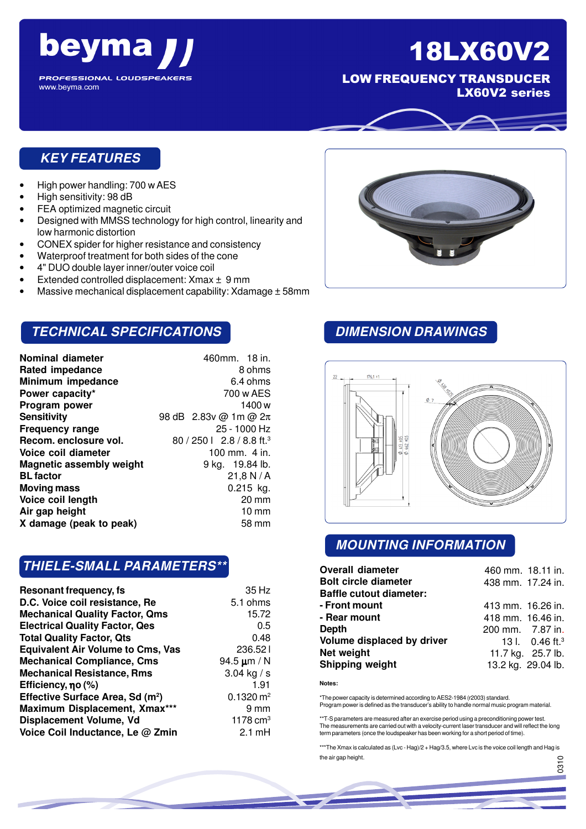

LOW FREQUENCY TRANSDUCER LX60V2 series

## **KEY FEATURES**

beyma

**PROFESSIONAL LOUDSPEAKERS** 

- High power handling: 700 w AES
- High sensitivity: 98 dB

www.beyma.com

- FEA optimized magnetic circuit
- Designed with MMSS technology for high control, linearity and low harmonic distortion
- CONEX spider for higher resistance and consistency
- Waterproof treatment for both sides of the cone
- 4" DUO double layer inner/outer voice coil
- Extended controlled displacement: Xmax ± 9 mm
- Massive mechanical displacement capability: Xdamage ± 58mm

## **TECHNICAL SPECIFICATIONS**

| Nominal diameter                | 460mm. 18 in.                          |
|---------------------------------|----------------------------------------|
| <b>Rated impedance</b>          | 8 ohms                                 |
| Minimum impedance               | 6.4 ohms                               |
| Power capacity*                 | 700 w AES                              |
| Program power                   | 1400 w                                 |
| Sensitivity                     | 98 dB 2.83v @ 1m @ 2π                  |
| <b>Frequency range</b>          | 25 - 1000 Hz                           |
| Recom. enclosure vol.           | $80 / 2501$ 2.8 / 8.8 ft. <sup>3</sup> |
| Voice coil diameter             | 100 mm. $4$ in.                        |
| <b>Magnetic assembly weight</b> | 9 kg. 19.84 lb.                        |
| <b>BL</b> factor                | 21,8 N/A                               |
| <b>Moving mass</b>              | $0.215$ kg.                            |
| Voice coil length               | $20 \text{ mm}$                        |
| Air gap height                  | $10 \text{ mm}$                        |
| X damage (peak to peak)         | 58 mm                                  |

## **THIELE-SMALL PARAMETERS\*\***

| Resonant frequency, fs                       | 35 Hz                  |
|----------------------------------------------|------------------------|
| D.C. Voice coil resistance, Re               | 5.1 ohms               |
| <b>Mechanical Quality Factor, Qms</b>        | 15.72                  |
| <b>Electrical Quality Factor, Qes</b>        | 0.5                    |
| <b>Total Quality Factor, Qts</b>             | 0.48                   |
| <b>Equivalent Air Volume to Cms, Vas</b>     | 236.521                |
| <b>Mechanical Compliance, Cms</b>            | 94.5 $\mu$ m / N       |
| <b>Mechanical Resistance, Rms</b>            | 3.04 kg / s            |
| Efficiency, $\eta$ o (%)                     | 1.91                   |
| Effective Surface Area, Sd (m <sup>2</sup> ) | $0.1320 \text{ m}^2$   |
| Maximum Displacement, Xmax***                | 9 mm                   |
| Displacement Volume, Vd                      | $1178$ cm <sup>3</sup> |
| Voice Coil Inductance, Le @ Zmin             | $2.1 \text{ mH}$       |

## **DIMENSION DRAWINGS**



## **MOUNTING INFORMATION**

| <b>Overall diameter</b>        | 460 mm. 18.11 in. |                               |
|--------------------------------|-------------------|-------------------------------|
| <b>Bolt circle diameter</b>    | 438 mm. 17.24 in. |                               |
| <b>Baffle cutout diameter:</b> |                   |                               |
| - Front mount                  | 413 mm. 16.26 in. |                               |
| - Rear mount                   | 418 mm. 16.46 in. |                               |
| Depth                          | 200 mm. 7.87 in.  |                               |
| Volume displaced by driver     |                   | 13 l. $0.46$ ft. <sup>3</sup> |
| Net weight                     |                   | 11.7 kg. 25.7 lb.             |
| Shipping weight                |                   | 13.2 kg. 29.04 lb.            |

**Notes:**

\*The power capacity is determined according to AES2-1984 (r2003) standard. Program power is defined as the transducer's ability to handle normal music program material.

\*\*T-S parameters are measured after an exercise period using a preconditioning power test. The measurements are carried out with a velocity-current laser transducer and will reflect the long term parameters (once the loudspeaker has been working for a short period of time).

\*\*\*The Xmax is calculated as (Lvc - Hag)/2 + Hag/3.5, where Lvc is the voice coil length and Hag is the air gap height.

056

.<br>მ